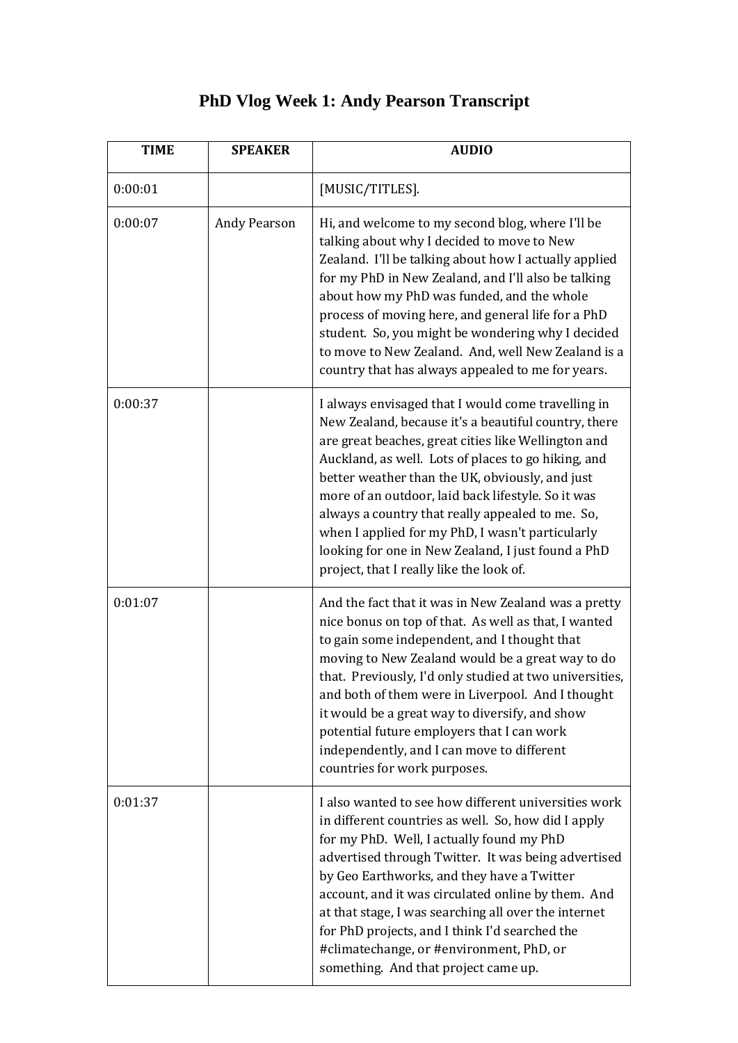## **PhD Vlog Week 1: Andy Pearson Transcript**

| <b>TIME</b> | <b>SPEAKER</b>      | <b>AUDIO</b>                                                                                                                                                                                                                                                                                                                                                                                                                                                                                                                                |
|-------------|---------------------|---------------------------------------------------------------------------------------------------------------------------------------------------------------------------------------------------------------------------------------------------------------------------------------------------------------------------------------------------------------------------------------------------------------------------------------------------------------------------------------------------------------------------------------------|
| 0:00:01     |                     | [MUSIC/TITLES].                                                                                                                                                                                                                                                                                                                                                                                                                                                                                                                             |
| 0:00:07     | <b>Andy Pearson</b> | Hi, and welcome to my second blog, where I'll be<br>talking about why I decided to move to New<br>Zealand. I'll be talking about how I actually applied<br>for my PhD in New Zealand, and I'll also be talking<br>about how my PhD was funded, and the whole<br>process of moving here, and general life for a PhD<br>student. So, you might be wondering why I decided<br>to move to New Zealand. And, well New Zealand is a<br>country that has always appealed to me for years.                                                          |
| 0:00:37     |                     | I always envisaged that I would come travelling in<br>New Zealand, because it's a beautiful country, there<br>are great beaches, great cities like Wellington and<br>Auckland, as well. Lots of places to go hiking, and<br>better weather than the UK, obviously, and just<br>more of an outdoor, laid back lifestyle. So it was<br>always a country that really appealed to me. So,<br>when I applied for my PhD, I wasn't particularly<br>looking for one in New Zealand, I just found a PhD<br>project, that I really like the look of. |
| 0:01:07     |                     | And the fact that it was in New Zealand was a pretty<br>nice bonus on top of that. As well as that, I wanted<br>to gain some independent, and I thought that<br>moving to New Zealand would be a great way to do<br>that. Previously, I'd only studied at two universities,<br>and both of them were in Liverpool. And I thought<br>it would be a great way to diversify, and show<br>potential future employers that I can work<br>independently, and I can move to different<br>countries for work purposes.                              |
| 0:01:37     |                     | I also wanted to see how different universities work<br>in different countries as well. So, how did I apply<br>for my PhD. Well, I actually found my PhD<br>advertised through Twitter. It was being advertised<br>by Geo Earthworks, and they have a Twitter<br>account, and it was circulated online by them. And<br>at that stage, I was searching all over the internet<br>for PhD projects, and I think I'd searched the<br>#climatechange, or #environment, PhD, or<br>something. And that project came up.                           |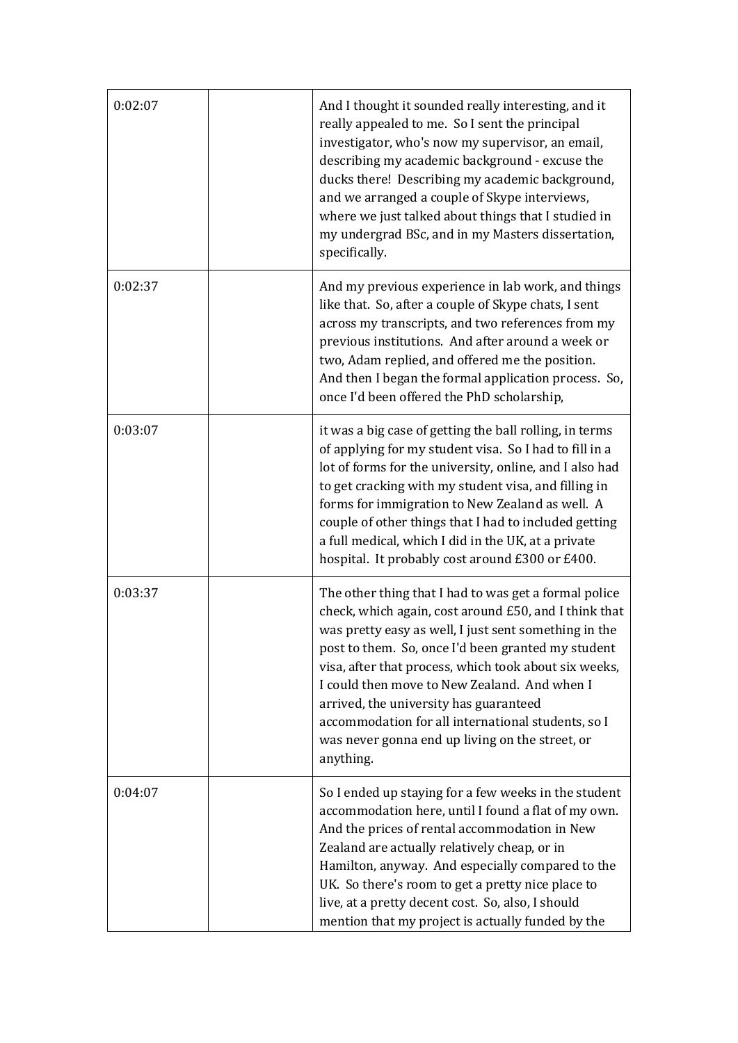| 0:02:07 | And I thought it sounded really interesting, and it<br>really appealed to me. So I sent the principal<br>investigator, who's now my supervisor, an email,<br>describing my academic background - excuse the<br>ducks there! Describing my academic background,<br>and we arranged a couple of Skype interviews,<br>where we just talked about things that I studied in<br>my undergrad BSc, and in my Masters dissertation,<br>specifically.                                                           |
|---------|--------------------------------------------------------------------------------------------------------------------------------------------------------------------------------------------------------------------------------------------------------------------------------------------------------------------------------------------------------------------------------------------------------------------------------------------------------------------------------------------------------|
| 0:02:37 | And my previous experience in lab work, and things<br>like that. So, after a couple of Skype chats, I sent<br>across my transcripts, and two references from my<br>previous institutions. And after around a week or<br>two, Adam replied, and offered me the position.<br>And then I began the formal application process. So,<br>once I'd been offered the PhD scholarship,                                                                                                                          |
| 0:03:07 | it was a big case of getting the ball rolling, in terms<br>of applying for my student visa. So I had to fill in a<br>lot of forms for the university, online, and I also had<br>to get cracking with my student visa, and filling in<br>forms for immigration to New Zealand as well. A<br>couple of other things that I had to included getting<br>a full medical, which I did in the UK, at a private<br>hospital. It probably cost around £300 or £400.                                             |
| 0:03:37 | The other thing that I had to was get a formal police<br>check, which again, cost around £50, and I think that<br>was pretty easy as well, I just sent something in the<br>post to them. So, once I'd been granted my student<br>visa, after that process, which took about six weeks,<br>I could then move to New Zealand. And when I<br>arrived, the university has guaranteed<br>accommodation for all international students, so I<br>was never gonna end up living on the street, or<br>anything. |
| 0:04:07 | So I ended up staying for a few weeks in the student<br>accommodation here, until I found a flat of my own.<br>And the prices of rental accommodation in New<br>Zealand are actually relatively cheap, or in<br>Hamilton, anyway. And especially compared to the<br>UK. So there's room to get a pretty nice place to<br>live, at a pretty decent cost. So, also, I should<br>mention that my project is actually funded by the                                                                        |